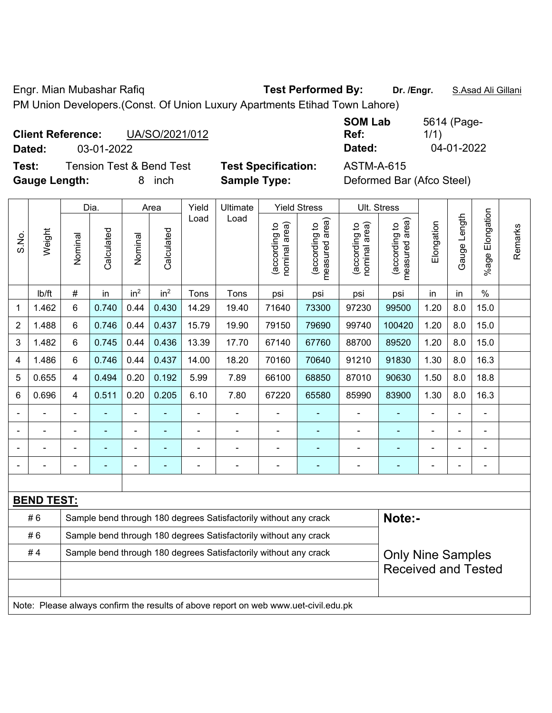Engr. Mian Mubashar Rafiq **Test Performed By: Dr. /Engr.** S.Asad Ali Gillani PM Union Developers.(Const. Of Union Luxury Apartments Etihad Town Lahore)

| <b>Client Reference:</b> |            | UA/SO/2021/012 |
|--------------------------|------------|----------------|
| Dated:                   | 03-01-2022 |                |

**SOM Lab Ref:**  5614 (Page-1/1) **Dated:** 03-01-2022 **Dated:** 04-01-2022

**Test:** Tension Test & Bend Test **Test Specification:** ASTM-A-615 **Gauge Length:** 8 inch **Sample Type:** Deformed Bar (Afco Steel)

|                |                   |                                                                  | Dia.                     |                 | Area            | Yield          | Ultimate                                                                            |                                | <b>Yield Stress</b>             |                                | Ult. Stress                     |                |              |                       |         |
|----------------|-------------------|------------------------------------------------------------------|--------------------------|-----------------|-----------------|----------------|-------------------------------------------------------------------------------------|--------------------------------|---------------------------------|--------------------------------|---------------------------------|----------------|--------------|-----------------------|---------|
| S.No.          | Weight            | Nominal                                                          | Calculated               | Nominal         | Calculated      | Load           | Load                                                                                | nominal area)<br>(according to | (according to<br>measured area) | (according to<br>nominal area) | measured area)<br>(according to | Elongation     | Gauge Length | Elongation<br>$%$ age | Remarks |
|                | lb/ft             | #                                                                | in                       | in <sup>2</sup> | in <sup>2</sup> | Tons           | Tons                                                                                | psi                            | psi                             | psi                            | psi                             | in             | in           | $\frac{0}{0}$         |         |
| 1              | 1.462             | 6                                                                | 0.740                    | 0.44            | 0.430           | 14.29          | 19.40                                                                               | 71640                          | 73300                           | 97230                          | 99500                           | 1.20           | 8.0          | 15.0                  |         |
| $\overline{2}$ | 1.488             | 6                                                                | 0.746                    | 0.44            | 0.437           | 15.79          | 19.90                                                                               | 79150                          | 79690                           | 99740                          | 100420                          | 1.20           | 8.0          | 15.0                  |         |
| 3              | 1.482             | 6                                                                | 0.745                    | 0.44            | 0.436           | 13.39          | 17.70                                                                               | 67140                          | 67760                           | 88700                          | 89520                           | 1.20           | 8.0          | 15.0                  |         |
| 4              | 1.486             | 6                                                                | 0.746                    | 0.44            | 0.437           | 14.00          | 18.20                                                                               | 70160                          | 70640                           | 91210                          | 91830                           | 1.30           | 8.0          | 16.3                  |         |
| 5              | 0.655             | 4                                                                | 0.494                    | 0.20            | 0.192           | 5.99           | 7.89                                                                                | 66100                          | 68850                           | 87010                          | 90630                           | 1.50           | 8.0          | 18.8                  |         |
| 6              | 0.696             | 4                                                                | 0.511                    | 0.20            | 0.205           | 6.10           | 7.80                                                                                | 67220                          | 65580                           | 85990                          | 83900                           | 1.30           | 8.0          | 16.3                  |         |
|                |                   | $\blacksquare$                                                   | ä,                       | ÷,              |                 | ä,             | ÷,                                                                                  |                                | ٠                               | $\blacksquare$                 | ÷,                              |                |              | $\blacksquare$        |         |
|                |                   |                                                                  |                          | $\blacksquare$  |                 | $\blacksquare$ | ä,                                                                                  |                                |                                 |                                |                                 |                |              |                       |         |
|                |                   |                                                                  |                          |                 |                 |                |                                                                                     |                                |                                 |                                |                                 |                |              |                       |         |
|                |                   |                                                                  | $\overline{\phantom{0}}$ | ÷               | ۰               | ۰              | -                                                                                   |                                | ٠                               |                                | ٠                               | $\blacksquare$ |              | $\blacksquare$        |         |
|                |                   |                                                                  |                          |                 |                 |                |                                                                                     |                                |                                 |                                |                                 |                |              |                       |         |
|                | <b>BEND TEST:</b> |                                                                  |                          |                 |                 |                |                                                                                     |                                |                                 |                                |                                 |                |              |                       |         |
|                | #6                |                                                                  |                          |                 |                 |                | Sample bend through 180 degrees Satisfactorily without any crack                    |                                |                                 |                                | Note:-                          |                |              |                       |         |
|                | #6                | Sample bend through 180 degrees Satisfactorily without any crack |                          |                 |                 |                |                                                                                     |                                |                                 |                                |                                 |                |              |                       |         |
|                | #4                |                                                                  |                          |                 |                 |                | Sample bend through 180 degrees Satisfactorily without any crack                    |                                |                                 |                                | <b>Only Nine Samples</b>        |                |              |                       |         |
|                |                   |                                                                  |                          |                 |                 |                |                                                                                     |                                |                                 |                                | <b>Received and Tested</b>      |                |              |                       |         |
|                |                   |                                                                  |                          |                 |                 |                |                                                                                     |                                |                                 |                                |                                 |                |              |                       |         |
|                |                   |                                                                  |                          |                 |                 |                | Note: Please always confirm the results of above report on web www.uet-civil.edu.pk |                                |                                 |                                |                                 |                |              |                       |         |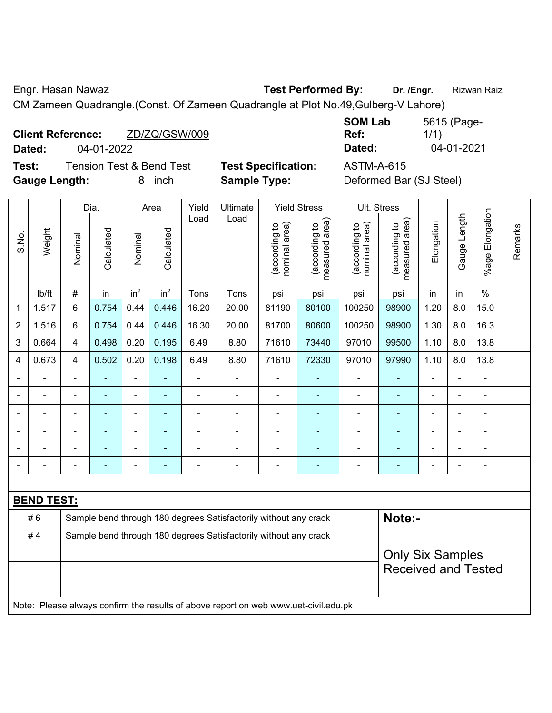Engr. Hasan Nawaz **Test Performed By:** Dr. /Engr. **Rizwan Raiz** 

CM Zameen Quadrangle.(Const. Of Zameen Quadrangle at Plot No.49,Gulberg-V Lahore)

| <b>Client Reference:</b> | ZD/ZQ/GSW/009 | Ref:   | 1/1        |
|--------------------------|---------------|--------|------------|
| Dated:                   | 04-01-2022    | Dated: | 04-01-2021 |

**Test:** Tension Test & Bend Test **Test Specification:** ASTM-A-615 **Gauge Length:** 8 inch **Sample Type:** Deformed Bar (SJ Steel)

**SOM Lab Ref:**  5615 (Page-1/1)

|                |                   | Yield<br><b>Yield Stress</b><br>Ult. Stress<br>Dia.<br>Area<br><b>Ultimate</b> |                |                          |                 |                |                                                                  |                                |                                |                               |                                                       |                |                |                       |         |
|----------------|-------------------|--------------------------------------------------------------------------------|----------------|--------------------------|-----------------|----------------|------------------------------------------------------------------|--------------------------------|--------------------------------|-------------------------------|-------------------------------------------------------|----------------|----------------|-----------------------|---------|
| S.No.          | Weight            | Nominal                                                                        | Calculated     | Nominal                  | Calculated      | Load           | Load                                                             | nominal area)<br>(according to | measured area)<br>according to | nominal area)<br>according to | measured area)<br>(according to                       | Elongation     | Gauge Length   | Elongation<br>$%$ age | Remarks |
|                | lb/ft             | $\#$                                                                           | in             | in <sup>2</sup>          | in <sup>2</sup> | Tons           | Tons                                                             | psi                            | psi                            | psi                           | psi                                                   | in             | in             | $\%$                  |         |
| $\mathbf 1$    | 1.517             | 6                                                                              | 0.754          | 0.44                     | 0.446           | 16.20          | 20.00                                                            | 81190                          | 80100                          | 100250                        | 98900                                                 | 1.20           | 8.0            | 15.0                  |         |
| $\overline{2}$ | 1.516             | 6                                                                              | 0.754          | 0.44                     | 0.446           | 16.30          | 20.00                                                            | 81700                          | 80600                          | 100250                        | 98900                                                 | 1.30           | 8.0            | 16.3                  |         |
| 3              | 0.664             | 4                                                                              | 0.498          | 0.20                     | 0.195           | 6.49           | 8.80                                                             | 71610                          | 73440                          | 97010                         | 99500                                                 | 1.10           | 8.0            | 13.8                  |         |
| $\overline{4}$ | 0.673             | 4                                                                              | 0.502          | 0.20                     | 0.198           | 6.49           | 8.80                                                             | 71610                          | 72330                          | 97010                         | 97990                                                 | 1.10           | 8.0            | 13.8                  |         |
|                |                   | $\blacksquare$                                                                 | ٠              | $\blacksquare$           | $\blacksquare$  | $\blacksquare$ | $\blacksquare$                                                   | $\blacksquare$                 | $\blacksquare$                 | $\blacksquare$                | ÷,                                                    | ä,             | $\blacksquare$ | $\blacksquare$        |         |
|                | $\blacksquare$    | $\blacksquare$                                                                 | $\blacksquare$ | $\blacksquare$           | $\blacksquare$  | $\blacksquare$ | $\blacksquare$                                                   | $\blacksquare$                 | $\blacksquare$                 | $\blacksquare$                | $\blacksquare$                                        | $\overline{a}$ | $\blacksquare$ | $\overline{a}$        |         |
|                |                   |                                                                                | ۰              |                          |                 |                |                                                                  |                                | ÷                              | $\blacksquare$                |                                                       |                |                |                       |         |
|                |                   |                                                                                | ۰              | $\overline{\phantom{0}}$ |                 |                | $\blacksquare$                                                   | $\blacksquare$                 | $\overline{\phantom{0}}$       | $\overline{\phantom{0}}$      | $\blacksquare$                                        |                | $\blacksquare$ | $\blacksquare$        |         |
|                |                   |                                                                                | $\blacksquare$ | $\blacksquare$           | ۰               | L.             | $\blacksquare$                                                   | $\blacksquare$                 | ٠                              | $\blacksquare$                | ٠                                                     |                | $\blacksquare$ | $\blacksquare$        |         |
|                |                   |                                                                                |                |                          |                 | ۰              |                                                                  | $\blacksquare$                 | $\blacksquare$                 |                               | $\blacksquare$                                        |                |                | $\blacksquare$        |         |
|                |                   |                                                                                |                |                          |                 |                |                                                                  |                                |                                |                               |                                                       |                |                |                       |         |
|                | <b>BEND TEST:</b> |                                                                                |                |                          |                 |                |                                                                  |                                |                                |                               |                                                       |                |                |                       |         |
|                | #6                |                                                                                |                |                          |                 |                | Sample bend through 180 degrees Satisfactorily without any crack |                                | Note:-                         |                               |                                                       |                |                |                       |         |
|                | #4                |                                                                                |                |                          |                 |                | Sample bend through 180 degrees Satisfactorily without any crack |                                |                                |                               |                                                       |                |                |                       |         |
|                |                   |                                                                                |                |                          |                 |                |                                                                  |                                |                                |                               | <b>Only Six Samples</b><br><b>Received and Tested</b> |                |                |                       |         |
|                |                   |                                                                                |                |                          |                 |                |                                                                  |                                |                                |                               |                                                       |                |                |                       |         |

Note: Please always confirm the results of above report on web www.uet-civil.edu.pk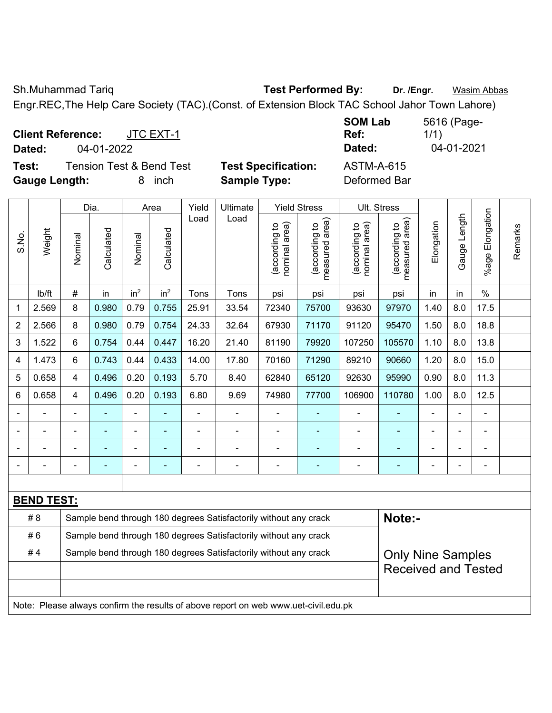Sh.Muhammad Tariq **Test Performed By:** Dr. /Engr. **Wasim Abbas** 

Engr.REC,The Help Care Society (TAC).(Const. of Extension Block TAC School Jahor Town Lahore)

**Client Reference:** JTC EXT-1 **Dated:** 04-01-2022 **Dated:** 04-01-2021 **Test:** Tension Test & Bend Test **Test Specification:** ASTM-A-615

**Gauge Length:** 8 inch **Sample Type:** Deformed Bar

**SOM Lab Ref:**  5616 (Page-1/1)

|                |                   |                | Dia.       |                          | Area                     | Yield | Ultimate                                                                            |                                | <b>Yield Stress</b>             |                                | Ult. Stress                     |            |              |                    |         |
|----------------|-------------------|----------------|------------|--------------------------|--------------------------|-------|-------------------------------------------------------------------------------------|--------------------------------|---------------------------------|--------------------------------|---------------------------------|------------|--------------|--------------------|---------|
| S.No.          | Weight            | Nominal        | Calculated | Nominal                  | Calculated               | Load  | Load                                                                                | nominal area)<br>(according to | (according to<br>measured area) | (according to<br>nominal area) | (according to<br>measured area) | Elongation | Gauge Length | Elongation<br>%age | Remarks |
|                | lb/ft             | $\#$           | in         | in <sup>2</sup>          | in <sup>2</sup>          | Tons  | Tons                                                                                | psi                            | psi                             | psi                            | psi                             | in         | in           | $\%$               |         |
| 1              | 2.569             | 8              | 0.980      | 0.79                     | 0.755                    | 25.91 | 33.54                                                                               | 72340                          | 75700                           | 93630                          | 97970                           | 1.40       | 8.0          | 17.5               |         |
| $\overline{2}$ | 2.566             | 8              | 0.980      | 0.79                     | 0.754                    | 24.33 | 32.64                                                                               | 67930                          | 71170                           | 91120                          | 95470                           | 1.50       | 8.0          | 18.8               |         |
| 3              | 1.522             | 6              | 0.754      | 0.44                     | 0.447                    | 16.20 | 21.40                                                                               | 81190                          | 79920                           | 107250                         | 105570                          | 1.10       | 8.0          | 13.8               |         |
| 4              | 1.473             | 6              | 0.743      | 0.44                     | 0.433                    | 14.00 | 17.80                                                                               | 70160                          | 71290                           | 89210                          | 90660                           | 1.20       | 8.0          | 15.0               |         |
| 5              | 0.658             | 4              | 0.496      | 0.20                     | 0.193                    | 5.70  | 8.40                                                                                | 62840                          | 65120                           | 92630                          | 95990                           | 0.90       | 8.0          | 11.3               |         |
| 6              | 0.658             | $\overline{4}$ | 0.496      | 0.20                     | 0.193                    | 6.80  | 9.69                                                                                | 74980                          | 77700                           | 106900                         | 110780                          | 1.00       | 8.0          | 12.5               |         |
|                |                   | $\blacksquare$ | ÷          | $\blacksquare$           |                          | ÷,    |                                                                                     | $\overline{\phantom{a}}$       | ۰                               | $\blacksquare$                 | ٠                               |            |              | L,                 |         |
|                | ÷                 | $\blacksquare$ | ÷,         | $\overline{\phantom{a}}$ | $\blacksquare$           | ä,    | $\overline{\phantom{a}}$                                                            | $\blacksquare$                 | $\blacksquare$                  | $\blacksquare$                 | $\blacksquare$                  | ÷          |              | $\blacksquare$     |         |
|                | ä,                | $\blacksquare$ | ÷          | $\blacksquare$           | $\overline{\phantom{a}}$ | ä,    | ÷                                                                                   | $\blacksquare$                 | ÷                               | $\blacksquare$                 | ä,                              |            |              | L,                 |         |
|                |                   |                |            |                          |                          |       |                                                                                     | $\blacksquare$                 | ۰                               |                                | ä,                              |            |              | $\blacksquare$     |         |
|                |                   |                |            |                          |                          |       |                                                                                     |                                |                                 |                                |                                 |            |              |                    |         |
|                | <b>BEND TEST:</b> |                |            |                          |                          |       |                                                                                     |                                |                                 |                                |                                 |            |              |                    |         |
|                | #8                |                |            |                          |                          |       | Sample bend through 180 degrees Satisfactorily without any crack                    |                                |                                 |                                | Note:-                          |            |              |                    |         |
|                | #6                |                |            |                          |                          |       | Sample bend through 180 degrees Satisfactorily without any crack                    |                                |                                 |                                |                                 |            |              |                    |         |
|                | #4                |                |            |                          |                          |       | Sample bend through 180 degrees Satisfactorily without any crack                    |                                |                                 |                                | <b>Only Nine Samples</b>        |            |              |                    |         |
|                |                   |                |            |                          |                          |       |                                                                                     |                                |                                 |                                | <b>Received and Tested</b>      |            |              |                    |         |
|                |                   |                |            |                          |                          |       |                                                                                     |                                |                                 |                                |                                 |            |              |                    |         |
|                |                   |                |            |                          |                          |       | Note: Please always confirm the results of above report on web www.uet-civil.edu.pk |                                |                                 |                                |                                 |            |              |                    |         |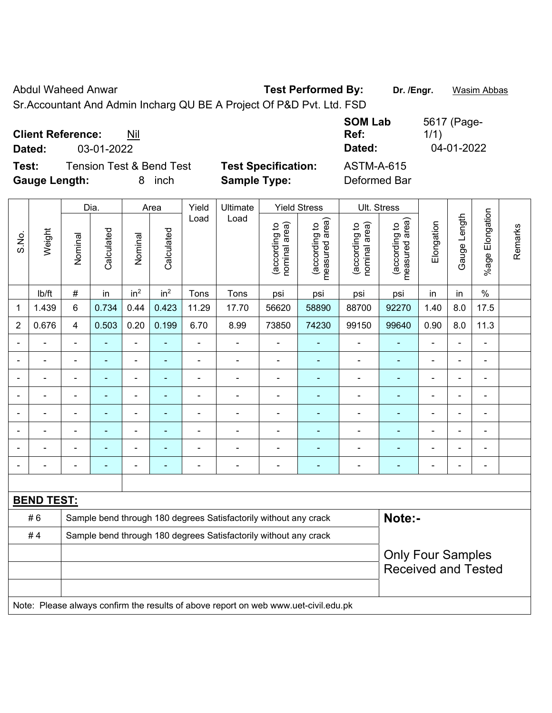Abdul Waheed Anwar **Test Performed By:** Dr. /Engr. **Wasim Abbas** 

Sr.Accountant And Admin Incharg QU BE A Project Of P&D Pvt. Ltd. FSD

|                      |                          |                                     |                            | <b>SOM Lab</b>    | 5617 (Page- |
|----------------------|--------------------------|-------------------------------------|----------------------------|-------------------|-------------|
|                      | <b>Client Reference:</b> | Nil                                 |                            | Ref:              | 1/1)        |
| Dated:               | 03-01-2022               |                                     |                            | Dated:            | 04-01-2022  |
| Test:                |                          | <b>Tension Test &amp; Bend Test</b> | <b>Test Specification:</b> | <b>ASTM-A-615</b> |             |
| <b>Gauge Length:</b> |                          | inch<br>8.                          | <b>Sample Type:</b>        | Deformed Bar      |             |

|                |                          |                                                                            | Dia.           |                              | Area            | Yield          | Ultimate                                                                            |                                | <b>Yield Stress</b>             |                                | Ult. Stress                       |                          |                |                          |         |
|----------------|--------------------------|----------------------------------------------------------------------------|----------------|------------------------------|-----------------|----------------|-------------------------------------------------------------------------------------|--------------------------------|---------------------------------|--------------------------------|-----------------------------------|--------------------------|----------------|--------------------------|---------|
| S.No.          | Weight                   | Nominal                                                                    | Calculated     | Nominal                      | Calculated      | Load           | Load                                                                                | nominal area)<br>(according to | (according to<br>measured area) | nominal area)<br>(according to | (according to  <br>measured area) | Elongation               | Gauge Length   | %age Elongation          | Remarks |
|                | Ib/ft                    | $\#$                                                                       | in             | in <sup>2</sup>              | in <sup>2</sup> | Tons           | Tons                                                                                | psi                            | psi                             | psi                            | psi                               | in                       | in             | $\%$                     |         |
| 1              | 1.439                    | 6                                                                          | 0.734          | 0.44                         | 0.423           | 11.29          | 17.70                                                                               | 56620                          | 58890                           | 88700                          | 92270                             | 1.40                     | 8.0            | 17.5                     |         |
| $\overline{2}$ | 0.676                    | $\overline{4}$                                                             | 0.503          | 0.20                         | 0.199           | 6.70           | 8.99                                                                                | 73850                          | 74230                           | 99150                          | 99640                             | 0.90                     | 8.0            | 11.3                     |         |
| $\blacksquare$ | $\blacksquare$           | $\blacksquare$                                                             | ä,             | $\blacksquare$               | ÷,              | $\blacksquare$ | $\blacksquare$                                                                      | $\overline{\phantom{a}}$       | $\blacksquare$                  | $\blacksquare$                 | $\blacksquare$                    | $\blacksquare$           | $\blacksquare$ | $\blacksquare$           |         |
|                | $\blacksquare$           | $\blacksquare$                                                             | ä,             | $\qquad \qquad \blacksquare$ | $\blacksquare$  | $\blacksquare$ | $\blacksquare$                                                                      | $\blacksquare$                 | ÷                               | $\overline{\phantom{a}}$       | $\blacksquare$                    | $\blacksquare$           | ÷,             | $\blacksquare$           |         |
|                |                          | $\blacksquare$                                                             | ä,             | $\blacksquare$               | $\blacksquare$  |                | $\blacksquare$                                                                      | $\blacksquare$                 | ä,                              | $\blacksquare$                 | $\blacksquare$                    | $\overline{\phantom{a}}$ | Ě.             | $\blacksquare$           |         |
|                |                          |                                                                            |                | $\sim$                       |                 |                |                                                                                     | $\blacksquare$                 | $\blacksquare$                  | $\blacksquare$                 | $\blacksquare$                    |                          | L.             | $\blacksquare$           |         |
|                |                          |                                                                            |                |                              |                 |                |                                                                                     | $\blacksquare$                 |                                 | $\blacksquare$                 | $\blacksquare$                    |                          | L.             | $\blacksquare$           |         |
| $\blacksquare$ | $\overline{\phantom{a}}$ | $\blacksquare$                                                             | $\blacksquare$ | $\blacksquare$               | $\blacksquare$  | $\blacksquare$ | $\blacksquare$                                                                      | $\overline{\phantom{a}}$       | $\blacksquare$                  | ۰                              | -                                 | $\overline{\phantom{0}}$ | ÷,             | $\overline{\phantom{0}}$ |         |
|                |                          | $\blacksquare$                                                             | $\blacksquare$ | $\blacksquare$               |                 | Ē,             | $\blacksquare$                                                                      | $\blacksquare$                 | $\blacksquare$                  | $\overline{\phantom{a}}$       | -                                 | $\overline{a}$           | Ē,             | $\blacksquare$           |         |
|                |                          | $\blacksquare$                                                             | $\blacksquare$ | $\blacksquare$               | $\blacksquare$  | ٠              | $\blacksquare$                                                                      | $\blacksquare$                 | $\blacksquare$                  | $\overline{\phantom{a}}$       | $\blacksquare$                    | $\blacksquare$           | $\blacksquare$ | $\blacksquare$           |         |
|                |                          |                                                                            |                |                              |                 |                |                                                                                     |                                |                                 |                                |                                   |                          |                |                          |         |
|                | <b>BEND TEST:</b>        |                                                                            |                |                              |                 |                |                                                                                     |                                |                                 |                                |                                   |                          |                |                          |         |
|                | #6                       | Note:-<br>Sample bend through 180 degrees Satisfactorily without any crack |                |                              |                 |                |                                                                                     |                                |                                 |                                |                                   |                          |                |                          |         |
|                | #4                       |                                                                            |                |                              |                 |                | Sample bend through 180 degrees Satisfactorily without any crack                    |                                |                                 |                                |                                   |                          |                |                          |         |
|                |                          |                                                                            |                |                              |                 |                |                                                                                     |                                |                                 |                                | <b>Only Four Samples</b>          |                          |                |                          |         |
|                |                          |                                                                            |                |                              |                 |                |                                                                                     |                                |                                 |                                | <b>Received and Tested</b>        |                          |                |                          |         |
|                |                          |                                                                            |                |                              |                 |                |                                                                                     |                                |                                 |                                |                                   |                          |                |                          |         |
|                |                          |                                                                            |                |                              |                 |                | Note: Please always confirm the results of above report on web www.uet-civil.edu.pk |                                |                                 |                                |                                   |                          |                |                          |         |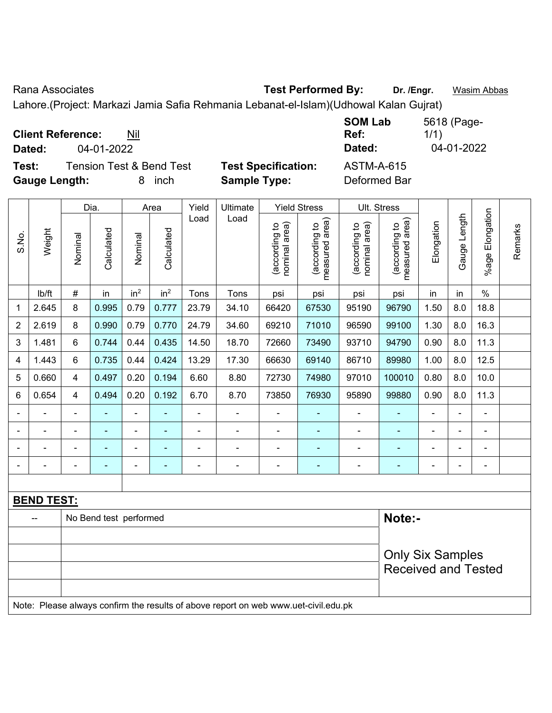Rana Associates **Test Performed By:** Dr. /Engr. **Wasim Abbas** 

Lahore.(Project: Markazi Jamia Safia Rehmania Lebanat-el-Islam)(Udhowal Kalan Gujrat)

| <b>Client Reference:</b><br>Nil              |                            | <b>SOM Lab</b><br>Ref: | 5618 (Page-<br>1/1) |
|----------------------------------------------|----------------------------|------------------------|---------------------|
| 04-01-2022<br>Dated:                         |                            | Dated:                 | 04-01-2022          |
| Test:<br><b>Tension Test &amp; Bend Test</b> | <b>Test Specification:</b> | ASTM-A-615             |                     |
| <b>Gauge Length:</b><br>inch<br>8            | <b>Sample Type:</b>        | Deformed Bar           |                     |

|                |                   |                | Dia.                   |                 | Area                     | Yield          | Ultimate                                                                            |                                | <b>Yield Stress</b>             |                                | Ult. Stress                     |                |                |                       |         |
|----------------|-------------------|----------------|------------------------|-----------------|--------------------------|----------------|-------------------------------------------------------------------------------------|--------------------------------|---------------------------------|--------------------------------|---------------------------------|----------------|----------------|-----------------------|---------|
| S.No.          | Weight            | Nominal        | Calculated             | Nominal         | Calculated               | Load           | Load                                                                                | nominal area)<br>(according to | (according to<br>measured area) | nominal area)<br>(according to | measured area)<br>(according to | Elongation     | Gauge Length   | Elongation<br>$%$ age | Remarks |
|                | lb/ft             | $\#$           | in                     | in <sup>2</sup> | in <sup>2</sup>          | Tons           | Tons                                                                                | psi                            | psi                             | psi                            | psi                             | in             | in             | $\%$                  |         |
| 1              | 2.645             | 8              | 0.995                  | 0.79            | 0.777                    | 23.79          | 34.10                                                                               | 66420                          | 67530                           | 95190                          | 96790                           | 1.50           | 8.0            | 18.8                  |         |
| $\overline{2}$ | 2.619             | 8              | 0.990                  | 0.79            | 0.770                    | 24.79          | 34.60                                                                               | 69210                          | 71010                           | 96590                          | 99100                           | 1.30           | 8.0            | 16.3                  |         |
| 3              | 1.481             | 6              | 0.744                  | 0.44            | 0.435                    | 14.50          | 18.70                                                                               | 72660                          | 73490                           | 93710                          | 94790                           | 0.90           | 8.0            | 11.3                  |         |
| 4              | 1.443             | 6              | 0.735                  | 0.44            | 0.424                    | 13.29          | 17.30                                                                               | 66630                          | 69140                           | 86710                          | 89980                           | 1.00           | 8.0            | 12.5                  |         |
| 5              | 0.660             | $\overline{4}$ | 0.497                  | 0.20            | 0.194                    | 6.60           | 8.80                                                                                | 72730                          | 74980                           | 97010                          | 100010                          | 0.80           | 8.0            | 10.0                  |         |
| 6              | 0.654             | $\overline{4}$ | 0.494                  | 0.20            | 0.192                    | 6.70           | 8.70                                                                                | 73850                          | 76930                           | 95890                          | 99880                           | 0.90           | 8.0            | 11.3                  |         |
|                |                   | $\blacksquare$ | $\blacksquare$         | $\blacksquare$  | $\overline{\phantom{a}}$ | $\blacksquare$ | $\blacksquare$                                                                      | ÷                              | $\blacksquare$                  | $\overline{\phantom{a}}$       | $\blacksquare$                  | $\frac{1}{2}$  | $\blacksquare$ | ä,                    |         |
|                |                   |                | $\blacksquare$         | $\blacksquare$  |                          |                |                                                                                     | $\blacksquare$                 | $\blacksquare$                  | $\blacksquare$                 |                                 | $\blacksquare$ |                | $\blacksquare$        |         |
|                |                   |                |                        | $\blacksquare$  |                          |                |                                                                                     |                                |                                 |                                |                                 |                |                | $\blacksquare$        |         |
|                |                   |                |                        | $\blacksquare$  | $\overline{\phantom{a}}$ |                | $\blacksquare$                                                                      | ÷                              | $\blacksquare$                  | -                              |                                 | $\blacksquare$ | $\blacksquare$ | ä,                    |         |
|                |                   |                |                        |                 |                          |                |                                                                                     |                                |                                 |                                |                                 |                |                |                       |         |
|                | <b>BEND TEST:</b> |                |                        |                 |                          |                |                                                                                     |                                |                                 |                                |                                 |                |                |                       |         |
|                |                   |                | No Bend test performed |                 |                          |                |                                                                                     |                                |                                 |                                | Note:-                          |                |                |                       |         |
|                |                   |                |                        |                 |                          |                |                                                                                     |                                |                                 |                                |                                 |                |                |                       |         |
|                |                   |                |                        |                 |                          |                |                                                                                     |                                |                                 |                                | <b>Only Six Samples</b>         |                |                |                       |         |
|                |                   |                |                        |                 |                          |                |                                                                                     |                                |                                 |                                | <b>Received and Tested</b>      |                |                |                       |         |
|                |                   |                |                        |                 |                          |                | Note: Please always confirm the results of above report on web www.uet-civil.edu.pk |                                |                                 |                                |                                 |                |                |                       |         |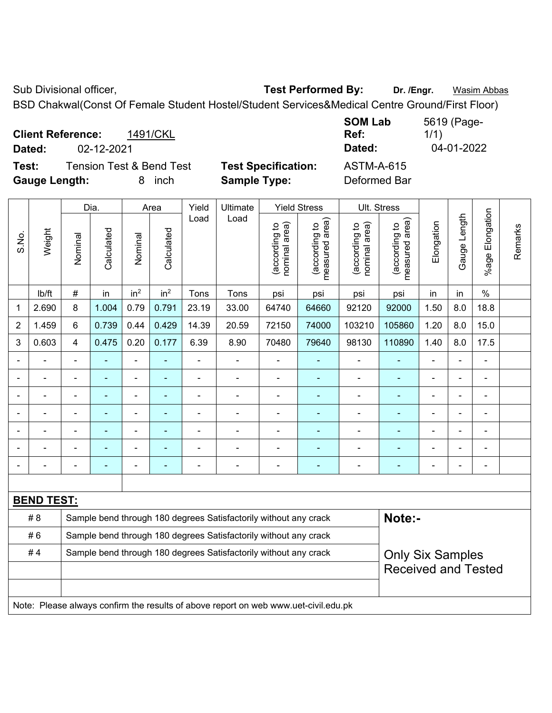Sub Divisional officer, **Test Performed By:** Dr. /Engr. **Wasim Abbas** 

BSD Chakwal(Const Of Female Student Hostel/Student Services&Medical Centre Ground/First Floor)

| <b>Client Reference:</b> |            | 1491/CKL                 |                            | <b>SOM Lab</b><br>Ref: | 5619 (Page-<br>1/1) |
|--------------------------|------------|--------------------------|----------------------------|------------------------|---------------------|
| Dated:                   | 02-12-2021 |                          |                            | Dated:                 | 04-01-2022          |
| Test:                    |            | Tension Test & Bend Test | <b>Test Specification:</b> | ASTM-A-615             |                     |
| <b>Gauge Length:</b>     |            | inch                     | <b>Sample Type:</b>        | Deformed Bar           |                     |

|                |                   |                                                                  | Dia.           |                              | Area                     | Yield | Ultimate                                                                            |                                | <b>Yield Stress</b>             |                                | Ult. Stress                     |                              |              |                          |         |
|----------------|-------------------|------------------------------------------------------------------|----------------|------------------------------|--------------------------|-------|-------------------------------------------------------------------------------------|--------------------------------|---------------------------------|--------------------------------|---------------------------------|------------------------------|--------------|--------------------------|---------|
| S.No.          | Weight            | Nominal                                                          | Calculated     | Nominal                      | Calculated               | Load  | Load                                                                                | nominal area)<br>(according to | (according to<br>measured area) | nominal area)<br>(according to | (according to<br>measured area) | Elongation                   | Gauge Length | Elongation<br>$%$ age    | Remarks |
|                | lb/ft             | $\#$                                                             | in             | in <sup>2</sup>              | in <sup>2</sup>          | Tons  | Tons                                                                                | psi                            | psi                             | psi                            | psi                             | in                           | in           | $\%$                     |         |
| 1              | 2.690             | 8                                                                | 1.004          | 0.79                         | 0.791                    | 23.19 | 33.00                                                                               | 64740                          | 64660                           | 92120                          | 92000                           | 1.50                         | 8.0          | 18.8                     |         |
| $\overline{2}$ | 1.459             | 6                                                                | 0.739          | 0.44                         | 0.429                    | 14.39 | 20.59                                                                               | 72150                          | 74000                           | 103210                         | 105860                          | 1.20                         | 8.0          | 15.0                     |         |
| 3              | 0.603             | $\overline{4}$                                                   | 0.475          | 0.20                         | 0.177                    | 6.39  | 8.90                                                                                | 70480                          | 79640                           | 98130                          | 110890                          | 1.40                         | 8.0          | 17.5                     |         |
|                |                   | $\blacksquare$                                                   | $\blacksquare$ | ÷,                           | $\blacksquare$           | ä,    | $\blacksquare$                                                                      | $\overline{\phantom{a}}$       | $\blacksquare$                  | $\blacksquare$                 | Ξ                               | $\blacksquare$               | ä,           | $\overline{\phantom{a}}$ |         |
|                | ÷,                | L,                                                               | ä,             | $\blacksquare$               | $\blacksquare$           | L,    | ÷,                                                                                  | $\overline{\phantom{a}}$       | $\blacksquare$                  | $\blacksquare$                 | Ξ                               | $\qquad \qquad \blacksquare$ | ä,           | $\blacksquare$           |         |
|                | ÷                 | $\blacksquare$                                                   | ä,             | $\qquad \qquad \blacksquare$ | $\overline{\phantom{a}}$ | ä,    | ÷                                                                                   | $\blacksquare$                 | ۰                               | $\blacksquare$                 | ÷,                              | $\blacksquare$               | ÷,           | $\blacksquare$           |         |
|                |                   |                                                                  | Ē.             | $\blacksquare$               | $\overline{\phantom{a}}$ |       | ÷                                                                                   | $\blacksquare$                 | ÷                               | $\blacksquare$                 | ÷                               |                              |              | $\blacksquare$           |         |
|                |                   |                                                                  |                |                              |                          |       |                                                                                     |                                |                                 |                                |                                 |                              |              |                          |         |
|                |                   |                                                                  |                | ÷                            |                          |       |                                                                                     |                                |                                 |                                | $\blacksquare$                  |                              |              |                          |         |
|                |                   | $\blacksquare$                                                   | Ē.             | $\overline{a}$               | ٠                        | ÷     | ۰                                                                                   | $\overline{a}$                 | ۰                               | $\qquad \qquad \blacksquare$   | ۰                               | $\overline{\phantom{0}}$     | ۰            | $\blacksquare$           |         |
|                |                   |                                                                  |                |                              |                          |       |                                                                                     |                                |                                 |                                |                                 |                              |              |                          |         |
|                | <b>BEND TEST:</b> |                                                                  |                |                              |                          |       |                                                                                     |                                |                                 |                                |                                 |                              |              |                          |         |
|                | # 8               |                                                                  |                |                              |                          |       | Sample bend through 180 degrees Satisfactorily without any crack                    |                                |                                 |                                | Note:-                          |                              |              |                          |         |
|                | #6                | Sample bend through 180 degrees Satisfactorily without any crack |                |                              |                          |       |                                                                                     |                                |                                 |                                |                                 |                              |              |                          |         |
|                | #4                |                                                                  |                |                              |                          |       | Sample bend through 180 degrees Satisfactorily without any crack                    |                                |                                 |                                | <b>Only Six Samples</b>         |                              |              |                          |         |
|                |                   |                                                                  |                |                              |                          |       |                                                                                     |                                |                                 |                                | <b>Received and Tested</b>      |                              |              |                          |         |
|                |                   |                                                                  |                |                              |                          |       |                                                                                     |                                |                                 |                                |                                 |                              |              |                          |         |
|                |                   |                                                                  |                |                              |                          |       | Note: Please always confirm the results of above report on web www.uet-civil.edu.pk |                                |                                 |                                |                                 |                              |              |                          |         |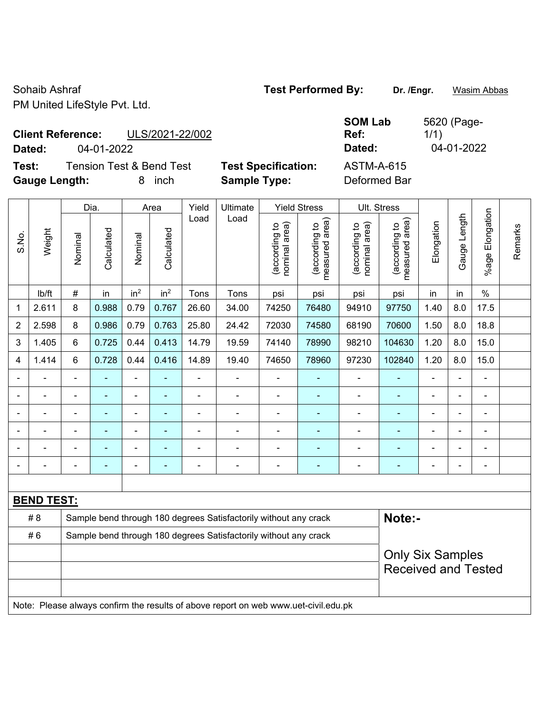Sohaib Ashraf **Test Performed By:** Dr. /Engr. **Wasim Abbas Company** Test Performed By: PM United LifeStyle Pvt. Ltd.

**Client Reference:** ULS/2021-22/002

**Test:** Tension Test & Bend Test **Test Specification:** ASTM-A-615 **Gauge Length:** 8 inch **Sample Type:** Deformed Bar

**SOM Lab Ref:**  5620 (Page-1/1) **Dated:** 04-01-2022 **Dated:** 04-01-2022

|                |                   |                | Dia.           |                 | Area                     | Yield          | Ultimate                                                                            |                                | <b>Yield Stress</b>                         |                                | Ult. Stress                     |                          |                |                          |         |
|----------------|-------------------|----------------|----------------|-----------------|--------------------------|----------------|-------------------------------------------------------------------------------------|--------------------------------|---------------------------------------------|--------------------------------|---------------------------------|--------------------------|----------------|--------------------------|---------|
| S.No.          | Weight            | Nominal        | Calculated     | Nominal         | Calculated               | Load           | Load                                                                                | (according to<br>nominal area) | (according to<br>neasured area)<br>measured | nominal area)<br>(according to | measured area)<br>(according to | Elongation               | Gauge Length   | Elongation<br>$%$ age    | Remarks |
|                | lb/ft             | #              | in             | in <sup>2</sup> | in <sup>2</sup>          | Tons           | Tons                                                                                | psi                            | psi                                         | psi                            | psi                             | in                       | in             | $\%$                     |         |
| 1              | 2.611             | 8              | 0.988          | 0.79            | 0.767                    | 26.60          | 34.00                                                                               | 74250                          | 76480                                       | 94910                          | 97750                           | 1.40                     | 8.0            | 17.5                     |         |
| $\overline{2}$ | 2.598             | 8              | 0.986          | 0.79            | 0.763                    | 25.80          | 24.42                                                                               | 72030                          | 74580                                       | 68190                          | 70600                           | 1.50                     | 8.0            | 18.8                     |         |
| 3              | 1.405             | 6              | 0.725          | 0.44            | 0.413                    | 14.79          | 19.59                                                                               | 74140                          | 78990                                       | 98210                          | 104630                          | 1.20                     | 8.0            | 15.0                     |         |
| 4              | 1.414             | 6              | 0.728          | 0.44            | 0.416                    | 14.89          | 19.40                                                                               | 74650                          | 78960                                       | 97230                          | 102840                          | 1.20                     | 8.0            | 15.0                     |         |
|                |                   | ä,             |                | ä,              |                          | ä,             | $\blacksquare$                                                                      |                                |                                             | ÷,                             |                                 |                          |                | $\blacksquare$           |         |
|                |                   |                |                |                 |                          |                |                                                                                     | $\blacksquare$                 |                                             |                                |                                 |                          |                |                          |         |
|                |                   |                |                | $\blacksquare$  |                          | $\blacksquare$ | $\overline{\phantom{0}}$                                                            | $\blacksquare$                 |                                             | Ē,                             | $\blacksquare$                  |                          |                | $\overline{\phantom{0}}$ |         |
| $\blacksquare$ | $\blacksquare$    | ä,             | $\blacksquare$ | ÷,              | $\overline{\phantom{0}}$ | $\blacksquare$ | $\blacksquare$                                                                      | $\blacksquare$                 | ä,                                          | ÷                              | ÷                               | $\blacksquare$           | $\blacksquare$ | $\blacksquare$           |         |
|                |                   | $\blacksquare$ | $\blacksquare$ | ÷               | ۰                        | $\overline{a}$ | $\blacksquare$                                                                      | $\blacksquare$                 | ٠                                           | $\blacksquare$                 | $\blacksquare$                  | $\overline{\phantom{0}}$ |                | $\overline{\phantom{0}}$ |         |
|                | $\blacksquare$    |                | ÷              | ÷,              | $\blacksquare$           |                | $\blacksquare$                                                                      | $\blacksquare$                 | $\blacksquare$                              | $\blacksquare$                 | $\blacksquare$                  | $\blacksquare$           |                | $\blacksquare$           |         |
|                |                   |                |                |                 |                          |                |                                                                                     |                                |                                             |                                |                                 |                          |                |                          |         |
|                | <b>BEND TEST:</b> |                |                |                 |                          |                |                                                                                     |                                |                                             |                                |                                 |                          |                |                          |         |
|                | # 8               |                |                |                 |                          |                | Sample bend through 180 degrees Satisfactorily without any crack                    |                                |                                             |                                | Note:-                          |                          |                |                          |         |
|                | #6                |                |                |                 |                          |                | Sample bend through 180 degrees Satisfactorily without any crack                    |                                |                                             |                                |                                 |                          |                |                          |         |
|                |                   |                |                |                 |                          |                |                                                                                     |                                |                                             |                                |                                 | <b>Only Six Samples</b>  |                |                          |         |
|                |                   |                |                |                 |                          |                |                                                                                     |                                |                                             |                                | <b>Received and Tested</b>      |                          |                |                          |         |
|                |                   |                |                |                 |                          |                |                                                                                     |                                |                                             |                                |                                 |                          |                |                          |         |
|                |                   |                |                |                 |                          |                | Note: Please always confirm the results of above report on web www.uet-civil.edu.pk |                                |                                             |                                |                                 |                          |                |                          |         |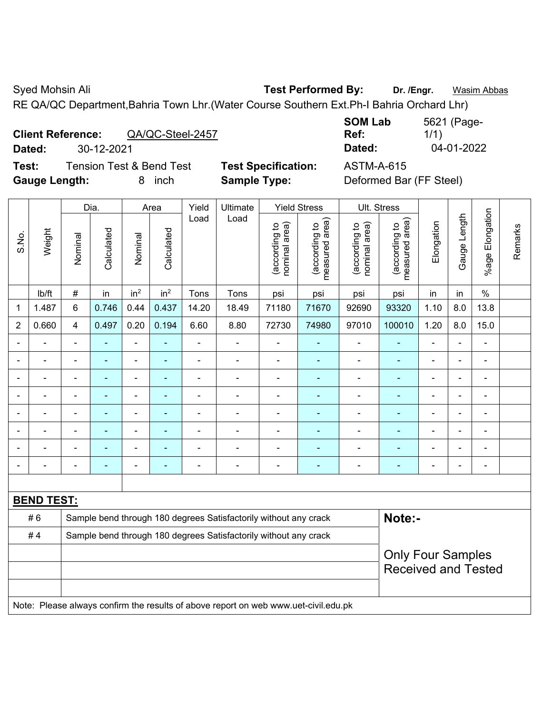Syed Mohsin Ali **Test Performed By:** Dr. /Engr. **Wasim Abbas Company** Dr. *Wasim Abbas* 

RE QA/QC Department,Bahria Town Lhr.(Water Course Southern Ext.Ph-I Bahria Orchard Lhr)

| <b>Client Reference:</b> |                                    | QA/QC-Steel-2457 |
|--------------------------|------------------------------------|------------------|
|                          | $\sim$ $\sim$ $\sim$ $\sim$ $\sim$ |                  |

**Test:** Tension Test & Bend Test **Test Specification:** ASTM-A-615 **Gauge Length:** 8 inch **Sample Type:** Deformed Bar (FF Steel)

**SOM Lab Ref:**  5621 (Page-1/1) **Dated:** 30-12-2021 **Dated:** 04-01-2022

|                              |                   |                                                                            | Dia.           |                 | Area            | Yield          | Ultimate                                                                            |                                | <b>Yield Stress</b>             |                                | Ult. Stress                     |                          |                          |                              |         |
|------------------------------|-------------------|----------------------------------------------------------------------------|----------------|-----------------|-----------------|----------------|-------------------------------------------------------------------------------------|--------------------------------|---------------------------------|--------------------------------|---------------------------------|--------------------------|--------------------------|------------------------------|---------|
| S.No.                        | Weight            | Nominal                                                                    | Calculated     | Nominal         | Calculated      | Load           | Load                                                                                | nominal area)<br>(according to | (according to<br>measured area) | (according to<br>nominal area) | (according to<br>measured area) | Elongation               | Gauge Length             | %age Elongation              | Remarks |
|                              | lb/ft             | $\#$                                                                       | in             | in <sup>2</sup> | in <sup>2</sup> | Tons           | Tons                                                                                | psi                            | psi                             | psi                            | psi                             | in                       | in                       | $\%$                         |         |
| $\mathbf{1}$                 | 1.487             | 6                                                                          | 0.746          | 0.44            | 0.437           | 14.20          | 18.49                                                                               | 71180                          | 71670                           | 92690                          | 93320                           | 1.10                     | 8.0                      | 13.8                         |         |
| $\overline{2}$               | 0.660             | $\overline{4}$                                                             | 0.497          | 0.20            | 0.194           | 6.60           | 8.80                                                                                | 72730                          | 74980                           | 97010                          | 100010                          | 1.20                     | 8.0                      | 15.0                         |         |
| $\blacksquare$               |                   | $\blacksquare$                                                             | $\blacksquare$ | $\blacksquare$  | $\blacksquare$  | $\blacksquare$ | $\blacksquare$                                                                      | ÷                              | $\blacksquare$                  | $\blacksquare$                 | $\blacksquare$                  | $\blacksquare$           | $\overline{\phantom{0}}$ | $\blacksquare$               |         |
| $\blacksquare$               |                   | $\blacksquare$                                                             | ä,             | ÷               | $\blacksquare$  | $\blacksquare$ | $\blacksquare$                                                                      | Ē,                             | $\blacksquare$                  | $\blacksquare$                 | ÷,                              | $\blacksquare$           | $\blacksquare$           | $\blacksquare$               |         |
| $\overline{a}$               | ÷                 | $\overline{\phantom{a}}$                                                   | ÷,             | ÷               | $\blacksquare$  | $\overline{a}$ | $\frac{1}{2}$                                                                       | $\blacksquare$                 | $\blacksquare$                  | $\overline{\phantom{a}}$       | $\frac{1}{2}$                   | $\overline{\phantom{a}}$ | $\blacksquare$           | $\blacksquare$               |         |
|                              |                   | $\blacksquare$                                                             | ÷,             | ÷,              | $\blacksquare$  | L,             | $\blacksquare$                                                                      | ÷                              | $\blacksquare$                  | $\blacksquare$                 | ÷,                              |                          | $\blacksquare$           | $\blacksquare$               |         |
|                              |                   | ÷                                                                          | ÷              | ä,              | ÷               | L,             | $\blacksquare$                                                                      | ä,                             | $\blacksquare$                  | $\blacksquare$                 | ä,                              |                          |                          | $\blacksquare$               |         |
|                              |                   | $\blacksquare$                                                             |                | ä,              |                 | Ē,             | $\blacksquare$                                                                      | ÷                              | ۰                               | ä,                             |                                 |                          |                          | $\blacksquare$               |         |
|                              |                   | $\blacksquare$                                                             | $\blacksquare$ | ۰               | ۳               | $\blacksquare$ | $\blacksquare$                                                                      | $\overline{\phantom{0}}$       | $\blacksquare$                  | $\overline{\phantom{0}}$       | ۰                               | $\blacksquare$           |                          | $\overline{\phantom{a}}$     |         |
| $\qquad \qquad \blacksquare$ |                   | $\blacksquare$                                                             | $\blacksquare$ | ÷               | $\blacksquare$  | $\blacksquare$ | $\overline{\phantom{a}}$                                                            | $\blacksquare$                 | $\blacksquare$                  | $\blacksquare$                 | $\blacksquare$                  | $\blacksquare$           | $\blacksquare$           | $\qquad \qquad \blacksquare$ |         |
|                              |                   |                                                                            |                |                 |                 |                |                                                                                     |                                |                                 |                                |                                 |                          |                          |                              |         |
|                              | <b>BEND TEST:</b> |                                                                            |                |                 |                 |                |                                                                                     |                                |                                 |                                |                                 |                          |                          |                              |         |
|                              | #6                | Note:-<br>Sample bend through 180 degrees Satisfactorily without any crack |                |                 |                 |                |                                                                                     |                                |                                 |                                |                                 |                          |                          |                              |         |
|                              | #4                | Sample bend through 180 degrees Satisfactorily without any crack           |                |                 |                 |                |                                                                                     |                                |                                 |                                |                                 |                          |                          |                              |         |
|                              |                   |                                                                            |                |                 |                 |                |                                                                                     | <b>Only Four Samples</b>       |                                 |                                |                                 |                          |                          |                              |         |
|                              |                   |                                                                            |                |                 |                 |                |                                                                                     |                                | <b>Received and Tested</b>      |                                |                                 |                          |                          |                              |         |
|                              |                   |                                                                            |                |                 |                 |                |                                                                                     |                                |                                 |                                |                                 |                          |                          |                              |         |
|                              |                   |                                                                            |                |                 |                 |                | Note: Please always confirm the results of above report on web www.uet-civil.edu.pk |                                |                                 |                                |                                 |                          |                          |                              |         |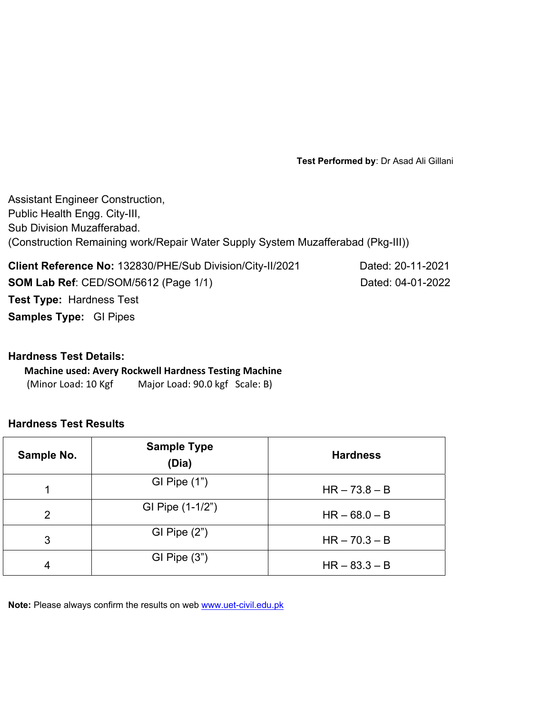**Test Performed by**: Dr Asad Ali Gillani

Assistant Engineer Construction, Public Health Engg. City-III, Sub Division Muzafferabad. (Construction Remaining work/Repair Water Supply System Muzafferabad (Pkg-III))

**Client Reference No:** 132830/PHE/Sub Division/City-II/2021 Dated: 20-11-2021 **SOM Lab Ref**: CED/SOM/5612 (Page 1/1) Dated: 04-01-2022 **Test Type:** Hardness Test **Samples Type:** GI Pipes

# **Hardness Test Details:**

**Machine used: Avery Rockwell Hardness Testing Machine** (Minor Load: 10 Kgf Major Load: 90.0 kgf Scale: B)

# **Hardness Test Results**

| Sample No.     | <b>Sample Type</b><br>(Dia) | <b>Hardness</b> |
|----------------|-----------------------------|-----------------|
|                | GI Pipe $(1")$              | $HR - 73.8 - B$ |
| $\overline{2}$ | GI Pipe (1-1/2")            | $HR - 68.0 - B$ |
| 3              | GI Pipe $(2")$              | $HR - 70.3 - B$ |
| 4              | GI Pipe $(3")$              | $HR - 83.3 - B$ |

**Note:** Please always confirm the results on web www.uet-civil.edu.pk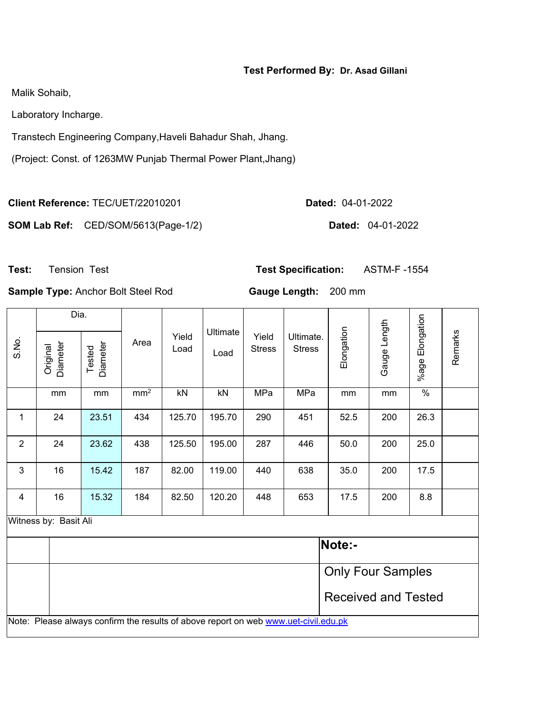# **Test Performed By: Dr. Asad Gillani**

Malik Sohaib,

Laboratory Incharge.

Transtech Engineering Company,Haveli Bahadur Shah, Jhang.

(Project: Const. of 1263MW Punjab Thermal Power Plant,Jhang)

**Client Reference:** TEC/UET/22010201 **Dated:** 04-01-2022

**SOM Lab Ref:** CED/SOM/5613(Page-1/2) **Dated:** 04-01-2022

**Test:** Tension Test **Test Specification:** ASTM-F -1554

**Sample Type:** Anchor Bolt Steel Rod **Gauge Length:** 200 mm

|                         | Dia.                                                                                |                    |                 |               |                  |                        |                            |                            |              |                 |         |
|-------------------------|-------------------------------------------------------------------------------------|--------------------|-----------------|---------------|------------------|------------------------|----------------------------|----------------------------|--------------|-----------------|---------|
| S.No.                   | <b>Diameter</b><br>Original                                                         | Diameter<br>Tested | Area            | Yield<br>Load | Ultimate<br>Load | Yield<br><b>Stress</b> | Ultimate.<br><b>Stress</b> | Elongation                 | Gauge Length | %age Elongation | Remarks |
|                         | mm                                                                                  | mm                 | mm <sup>2</sup> | kN            | kN               | MPa                    | MPa                        | mm                         | mm           | $\%$            |         |
| $\mathbf{1}$            | 24                                                                                  | 23.51              | 434             | 125.70        | 195.70           | 290                    | 451                        | 52.5                       | 200          | 26.3            |         |
| $\overline{2}$          | 24                                                                                  | 23.62              | 438             | 125.50        | 195.00           | 287                    | 446                        | 50.0                       | 200          | 25.0            |         |
| 3                       | 16                                                                                  | 15.42              | 187             | 82.00         | 119.00           | 440                    | 638                        | 35.0                       | 200          | 17.5            |         |
| $\overline{\mathbf{4}}$ | 16                                                                                  | 15.32              | 184             | 82.50         | 120.20           | 448                    | 653                        | 17.5                       | 200          | 8.8             |         |
|                         | Witness by: Basit Ali                                                               |                    |                 |               |                  |                        |                            |                            |              |                 |         |
|                         |                                                                                     |                    |                 |               |                  |                        |                            | Note:-                     |              |                 |         |
|                         |                                                                                     |                    |                 |               |                  |                        |                            | <b>Only Four Samples</b>   |              |                 |         |
|                         |                                                                                     |                    |                 |               |                  |                        |                            | <b>Received and Tested</b> |              |                 |         |
|                         | Note: Please always confirm the results of above report on web www.uet-civil.edu.pk |                    |                 |               |                  |                        |                            |                            |              |                 |         |